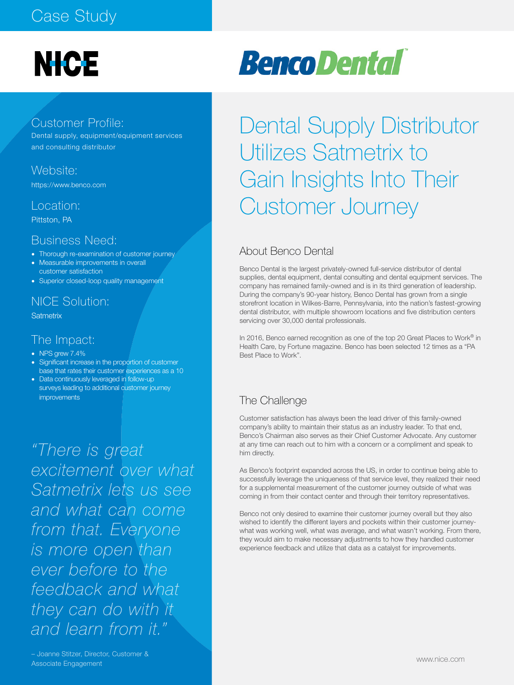# **NICE**

### Customer Profile:

Dental supply, equipment/equipment services and consulting distributor

#### Website:

https://www.benco.com

#### Location:

Pittston, PA

#### Business Need:

- Thorough re-examination of customer journey
- Measurable improvements in overall
- customer satisfaction
- Superior closed-loop quality management

## NICE Solution:

**Satmetrix** 

#### The Impact:

- NPS grew 7.4%
- Significant increase in the proportion of customer base that rates their customer experiences as a 10
- Data continuously leveraged in follow-up surveys leading to additional customer journey improvements

*"There is great excitement over what Satmetrix lets us see and what can come from that. Everyone is more open than ever before to the feedback and what they can do with it and learn from it."* 

## Dental Supply Distributor Utilizes Satmetrix to Gain Insights Into Their Customer Journey

### About Benco Dental

Benco Dental is the largest privately-owned full-service distributor of dental supplies, dental equipment, dental consulting and dental equipment services. The company has remained family-owned and is in its third generation of leadership. During the company's 90-year history, Benco Dental has grown from a single storefront location in Wilkes-Barre, Pennsylvania, into the nation's fastest-growing dental distributor, with multiple showroom locations and five distribution centers servicing over 30,000 dental professionals.

In 2016, Benco earned recognition as one of the top 20 Great Places to Work® in Health Care, by Fortune magazine. Benco has been selected 12 times as a "PA Best Place to Work".

#### The Challenge

Customer satisfaction has always been the lead driver of this family-owned company's ability to maintain their status as an industry leader. To that end, Benco's Chairman also serves as their Chief Customer Advocate. Any customer at any time can reach out to him with a concern or a compliment and speak to him directly.

As Benco's footprint expanded across the US, in order to continue being able to successfully leverage the uniqueness of that service level, they realized their need for a supplemental measurement of the customer journey outside of what was coming in from their contact center and through their territory representatives.

Benco not only desired to examine their customer journey overall but they also wished to identify the different layers and pockets within their customer journeywhat was working well, what was average, and what wasn't working. From there, they would aim to make necessary adjustments to how they handled customer experience feedback and utilize that data as a catalyst for improvements.